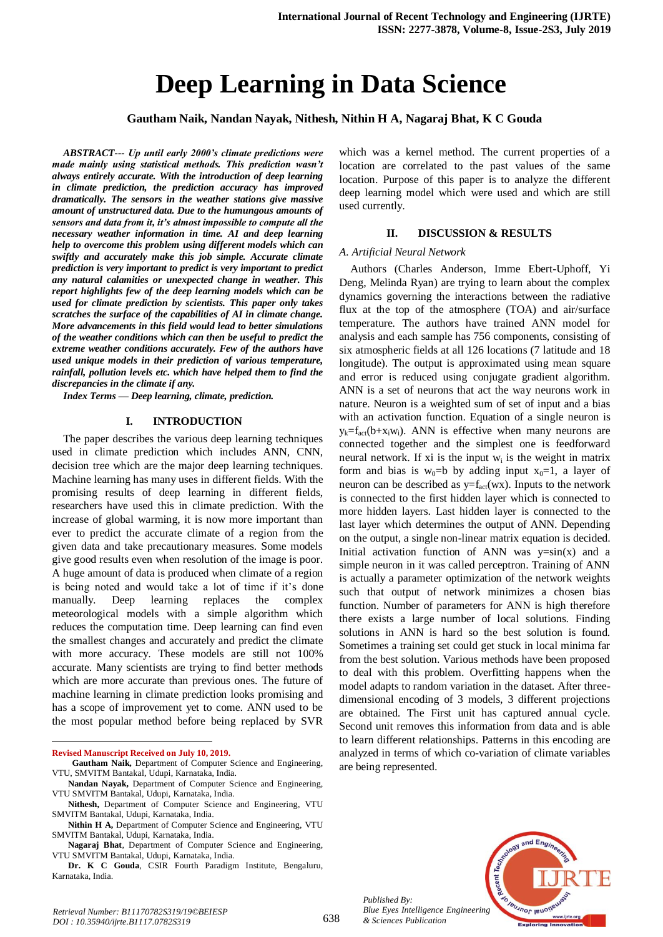# **Deep Learning in Data Science**

**Gautham Naik, Nandan Nayak, Nithesh, Nithin H A, Nagaraj Bhat, K C Gouda**

*ABSTRACT--- Up until early 2000's climate predictions were made mainly using statistical methods. This prediction wasn't always entirely accurate. With the introduction of deep learning in climate prediction, the prediction accuracy has improved dramatically. The sensors in the weather stations give massive amount of unstructured data. Due to the humungous amounts of sensors and data from it, it's almost impossible to compute all the necessary weather information in time. AI and deep learning help to overcome this problem using different models which can swiftly and accurately make this job simple. Accurate climate prediction is very important to predict is very important to predict any natural calamities or unexpected change in weather. This report highlights few of the deep learning models which can be used for climate prediction by scientists. This paper only takes scratches the surface of the capabilities of AI in climate change. More advancements in this field would lead to better simulations of the weather conditions which can then be useful to predict the extreme weather conditions accurately. Few of the authors have used unique models in their prediction of various temperature, rainfall, pollution levels etc. which have helped them to find the discrepancies in the climate if any.*

*Index Terms — Deep learning, climate, prediction.*

# **I. INTRODUCTION**

The paper describes the various deep learning techniques used in climate prediction which includes ANN, CNN, decision tree which are the major deep learning techniques. Machine learning has many uses in different fields. With the promising results of deep learning in different fields, researchers have used this in climate prediction. With the increase of global warming, it is now more important than ever to predict the accurate climate of a region from the given data and take precautionary measures. Some models give good results even when resolution of the image is poor. A huge amount of data is produced when climate of a region is being noted and would take a lot of time if it's done manually. Deep learning replaces the complex meteorological models with a simple algorithm which reduces the computation time. Deep learning can find even the smallest changes and accurately and predict the climate with more accuracy. These models are still not 100% accurate. Many scientists are trying to find better methods which are more accurate than previous ones. The future of machine learning in climate prediction looks promising and has a scope of improvement yet to come. ANN used to be the most popular method before being replaced by SVR

**Revised Manuscript Received on July 10, 2019.**

1

**Dr. K C Gouda**, CSIR Fourth Paradigm Institute, Bengaluru, Karnataka, India.

which was a kernel method. The current properties of a location are correlated to the past values of the same location. Purpose of this paper is to analyze the different deep learning model which were used and which are still used currently.

### **II. DISCUSSION & RESULTS**

## *A. Artificial Neural Network*

Authors (Charles Anderson, Imme Ebert-Uphoff, Yi Deng, Melinda Ryan) are trying to learn about the complex dynamics governing the interactions between the radiative flux at the top of the atmosphere (TOA) and air/surface temperature. The authors have trained ANN model for analysis and each sample has 756 components, consisting of six atmospheric fields at all 126 locations (7 latitude and 18 longitude). The output is approximated using mean square and error is reduced using conjugate gradient algorithm. ANN is a set of neurons that act the way neurons work in nature. Neuron is a weighted sum of set of input and a bias with an activation function. Equation of a single neuron is  $y_k = f_{act}(b+x_iw_i)$ . ANN is effective when many neurons are connected together and the simplest one is feedforward neural network. If xi is the input  $w_i$  is the weight in matrix form and bias is  $w_0=b$  by adding input  $x_0=1$ , a layer of neuron can be described as  $y=f_{act}(wx)$ . Inputs to the network is connected to the first hidden layer which is connected to more hidden layers. Last hidden layer is connected to the last layer which determines the output of ANN. Depending on the output, a single non-linear matrix equation is decided. Initial activation function of ANN was  $y=sin(x)$  and a simple neuron in it was called perceptron. Training of ANN is actually a parameter optimization of the network weights such that output of network minimizes a chosen bias function. Number of parameters for ANN is high therefore there exists a large number of local solutions. Finding solutions in ANN is hard so the best solution is found. Sometimes a training set could get stuck in local minima far from the best solution. Various methods have been proposed to deal with this problem. Overfitting happens when the model adapts to random variation in the dataset. After threedimensional encoding of 3 models, 3 different projections are obtained. The First unit has captured annual cycle. Second unit removes this information from data and is able to learn different relationships. Patterns in this encoding are analyzed in terms of which co-variation of climate variables are being represented.



*Published By: Blue Eyes Intelligence Engineering & Sciences Publication* 

**Gautham Naik,** Department of Computer Science and Engineering, VTU, SMVITM Bantakal, Udupi, Karnataka, India.

**Nandan Nayak,** Department of Computer Science and Engineering, VTU SMVITM Bantakal, Udupi, Karnataka, India.

**Nithesh,** Department of Computer Science and Engineering, VTU SMVITM Bantakal, Udupi, Karnataka, India.

**Nithin H A,** Department of Computer Science and Engineering, VTU SMVITM Bantakal, Udupi, Karnataka, India.

**Nagaraj Bhat**, Department of Computer Science and Engineering, VTU SMVITM Bantakal, Udupi, Karnataka, India.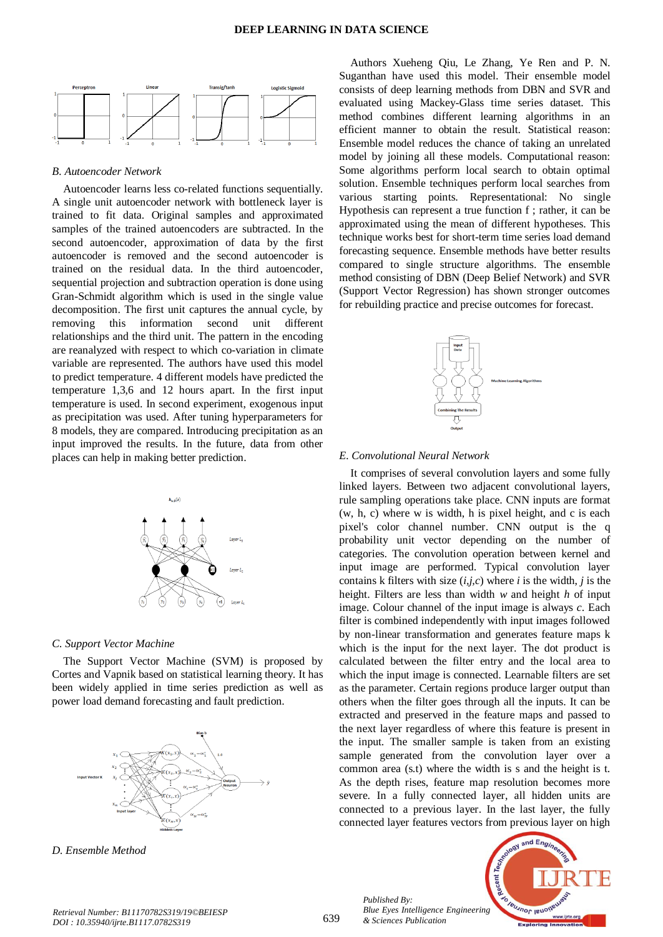

#### *B. Autoencoder Network*

Autoencoder learns less co-related functions sequentially. A single unit autoencoder network with bottleneck layer is trained to fit data. Original samples and approximated samples of the trained autoencoders are subtracted. In the second autoencoder, approximation of data by the first autoencoder is removed and the second autoencoder is trained on the residual data. In the third autoencoder, sequential projection and subtraction operation is done using Gran-Schmidt algorithm which is used in the single value decomposition. The first unit captures the annual cycle, by removing this information second unit different relationships and the third unit. The pattern in the encoding are reanalyzed with respect to which co-variation in climate variable are represented. The authors have used this model to predict temperature. 4 different models have predicted the temperature 1,3,6 and 12 hours apart. In the first input temperature is used. In second experiment, exogenous input as precipitation was used. After tuning hyperparameters for 8 models, they are compared. Introducing precipitation as an input improved the results. In the future, data from other places can help in making better prediction.



## *C. Support Vector Machine*

The Support Vector Machine (SVM) is proposed by Cortes and Vapnik based on statistical learning theory. It has been widely applied in time series prediction as well as power load demand forecasting and fault prediction.



*D. Ensemble Method*

Authors Xueheng Qiu, Le Zhang, Ye Ren and P. N. Suganthan have used this model. Their ensemble model consists of deep learning methods from DBN and SVR and evaluated using Mackey-Glass time series dataset. This method combines different learning algorithms in an efficient manner to obtain the result. Statistical reason: Ensemble model reduces the chance of taking an unrelated model by joining all these models. Computational reason: Some algorithms perform local search to obtain optimal solution. Ensemble techniques perform local searches from various starting points. Representational: No single Hypothesis can represent a true function f ; rather, it can be approximated using the mean of different hypotheses. This technique works best for short-term time series load demand forecasting sequence. Ensemble methods have better results compared to single structure algorithms. The ensemble method consisting of DBN (Deep Belief Network) and SVR (Support Vector Regression) has shown stronger outcomes for rebuilding practice and precise outcomes for forecast.



## *E. Convolutional Neural Network*

It comprises of several convolution layers and some fully linked layers. Between two adjacent convolutional layers, rule sampling operations take place. CNN inputs are format (w, h, c) where w is width, h is pixel height, and c is each pixel's color channel number. CNN output is the q probability unit vector depending on the number of categories. The convolution operation between kernel and input image are performed. Typical convolution layer contains k filters with size (*i,j,c*) where *i* is the width, *j* is the height. Filters are less than width *w* and height *h* of input image. Colour channel of the input image is always *c*. Each filter is combined independently with input images followed by non-linear transformation and generates feature maps k which is the input for the next layer. The dot product is calculated between the filter entry and the local area to which the input image is connected. Learnable filters are set as the parameter. Certain regions produce larger output than others when the filter goes through all the inputs. It can be extracted and preserved in the feature maps and passed to the next layer regardless of where this feature is present in the input. The smaller sample is taken from an existing sample generated from the convolution layer over a common area (s.t) where the width is s and the height is t. As the depth rises, feature map resolution becomes more severe. In a fully connected layer, all hidden units are connected to a previous layer. In the last layer, the fully connected layer features vectors from previous layer on high

*Published By: Blue Eyes Intelligence Engineering & Sciences Publication* 

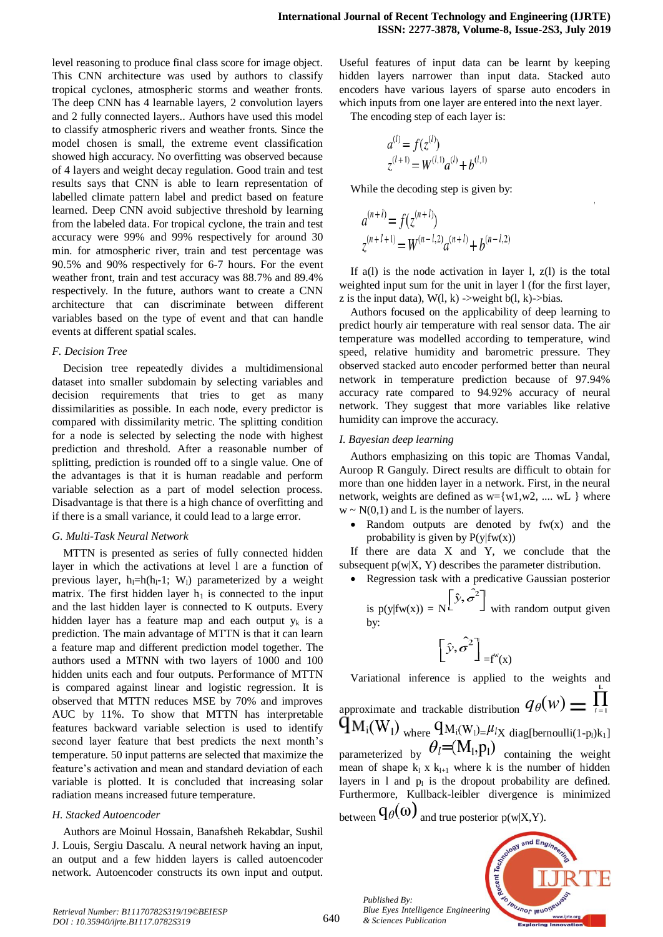level reasoning to produce final class score for image object. This CNN architecture was used by authors to classify tropical cyclones, atmospheric storms and weather fronts. The deep CNN has 4 learnable layers, 2 convolution layers and 2 fully connected layers.. Authors have used this model to classify atmospheric rivers and weather fronts. Since the model chosen is small, the extreme event classification showed high accuracy. No overfitting was observed because of 4 layers and weight decay regulation. Good train and test results says that CNN is able to learn representation of labelled climate pattern label and predict based on feature learned. Deep CNN avoid subjective threshold by learning from the labeled data. For tropical cyclone, the train and test accuracy were 99% and 99% respectively for around 30 min. for atmospheric river, train and test percentage was 90.5% and 90% respectively for 6-7 hours. For the event weather front, train and test accuracy was 88.7% and 89.4% respectively. In the future, authors want to create a CNN architecture that can discriminate between different variables based on the type of event and that can handle events at different spatial scales.

## *F. Decision Tree*

Decision tree repeatedly divides a multidimensional dataset into smaller subdomain by selecting variables and decision requirements that tries to get as many dissimilarities as possible. In each node, every predictor is compared with dissimilarity metric. The splitting condition for a node is selected by selecting the node with highest prediction and threshold. After a reasonable number of splitting, prediction is rounded off to a single value. One of the advantages is that it is human readable and perform variable selection as a part of model selection process. Disadvantage is that there is a high chance of overfitting and if there is a small variance, it could lead to a large error.

## *G. Multi-Task Neural Network*

MTTN is presented as series of fully connected hidden layer in which the activations at level l are a function of previous layer,  $h_1=h(h_1-1; W_1)$  parameterized by a weight matrix. The first hidden layer  $h_1$  is connected to the input and the last hidden layer is connected to K outputs. Every hidden layer has a feature map and each output  $y_k$  is a prediction. The main advantage of MTTN is that it can learn a feature map and different prediction model together. The authors used a MTNN with two layers of 1000 and 100 hidden units each and four outputs. Performance of MTTN is compared against linear and logistic regression. It is observed that MTTN reduces MSE by 70% and improves AUC by 11%. To show that MTTN has interpretable features backward variable selection is used to identify second layer feature that best predicts the next month's temperature. 50 input patterns are selected that maximize the feature's activation and mean and standard deviation of each variable is plotted. It is concluded that increasing solar radiation means increased future temperature.

## *H. Stacked Autoencoder*

Authors are Moinul Hossain, Banafsheh Rekabdar, Sushil J. Louis, Sergiu Dascalu. A neural network having an input, an output and a few hidden layers is called autoencoder network. Autoencoder constructs its own input and output.

Useful features of input data can be learnt by keeping hidden layers narrower than input data. Stacked auto encoders have various layers of sparse auto encoders in which inputs from one layer are entered into the next layer.

The encoding step of each layer is:

$$
a^{(l)} = f(z^{(l)})
$$
  

$$
z^{(l+1)} = W^{(l,1)}a^{(l)} + b^{(l,1)}
$$

While the decoding step is given by:

$$
a^{(n+l)} = f(z^{(n+l)})
$$
  

$$
z^{(n+l+1)} = W^{(n-l,2)}a^{(n+l)} + b^{(n-l,2)}
$$

If  $a(1)$  is the node activation in layer 1,  $z(1)$  is the total weighted input sum for the unit in layer l (for the first layer, z is the input data),  $W(l, k)$  ->weight b(l, k)->bias.

Authors focused on the applicability of deep learning to predict hourly air temperature with real sensor data. The air temperature was modelled according to temperature, wind speed, relative humidity and barometric pressure. They observed stacked auto encoder performed better than neural network in temperature prediction because of 97.94% accuracy rate compared to 94.92% accuracy of neural network. They suggest that more variables like relative humidity can improve the accuracy.

## *I. Bayesian deep learning*

by:

Authors emphasizing on this topic are Thomas Vandal, Auroop R Ganguly. Direct results are difficult to obtain for more than one hidden layer in a network. First, in the neural network, weights are defined as  $w = \{w1, w2, \dots, wL\}$  where  $w \sim N(0,1)$  and L is the number of layers.

Random outputs are denoted by  $f_{w}(x)$  and the probability is given by  $P(y|fw(x))$ 

If there are data X and Y, we conclude that the subsequent  $p(w|X, Y)$  describes the parameter distribution.

• Regression task with a predictive Gaussian posterior  
is 
$$
p(y|fw(x)) = N
$$
 $\left[\hat{y}, \hat{\sigma}^2\right]$  with random output given

$$
\left[\hat{y},\hat{\sigma^2}\right]_{=f^w(x)}
$$

Variational inference is applied to the weights and

approximate and trackable distribution  $q_{\theta}(w) = \prod_{i=1}^{n}$  $q_{M_i(W_l)}$ <sub>where</sub>  $q_{M_i(W_l)=\mu_{lX}}$  diag[bernoulli(1-p<sub>1</sub>)k<sub>1</sub>] parameterized by  $\theta_l = (M_l, p_l)$  containing the weight mean of shape  $k_1$  x  $k_{l+1}$  where k is the number of hidden layers in 1 and  $p_1$  is the dropout probability are defined. Furthermore, Kullback-leibler divergence is minimized between  $q_{\theta}(\omega)$  and true posterior p(w|X,Y).

*Published By: Blue Eyes Intelligence Engineering & Sciences Publication* 

640

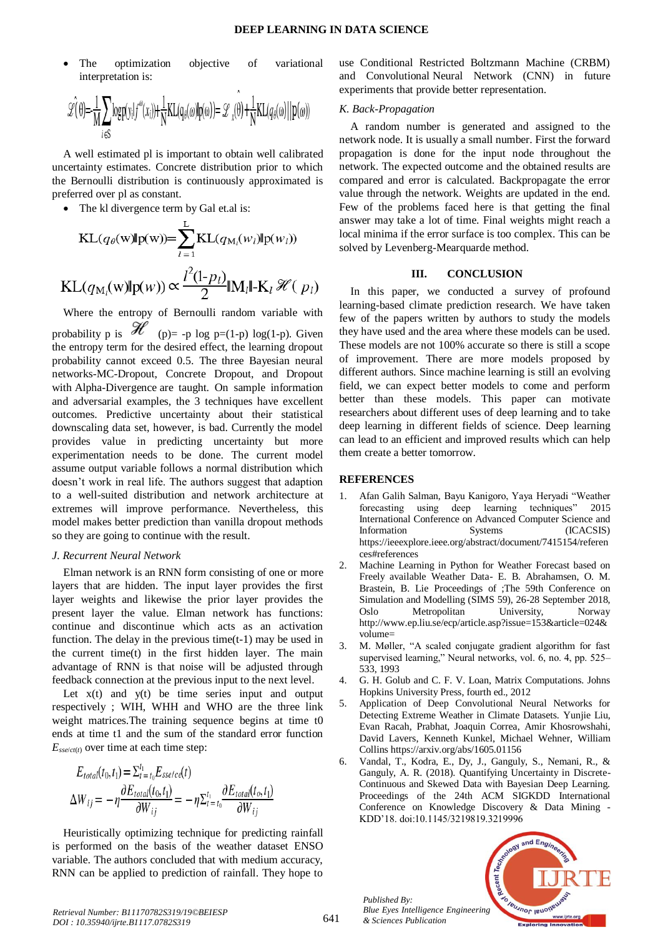The optimization objective of variational interpretation is:

$$
\mathscr{L}(\theta) = \frac{1}{M} \sum_{i \in S} \log p(y_i | f^{\omega}(x_i)) + \frac{1}{N} KL(q_{\theta}(\omega) | p(\omega)) = \mathscr{L}_x(\theta) + \frac{1}{N} KL(q_{\theta}(\omega) | p(\omega))
$$

A well estimated pl is important to obtain well calibrated uncertainty estimates. Concrete distribution prior to which the Bernoulli distribution is continuously approximated is preferred over pl as constant.

• The kl divergence term by Gal et.al is:

$$
\text{KL}(q_{\theta}(\mathbf{w})\|\mathbf{p}(\mathbf{w})) = \sum_{l=1}^{L} \text{KL}(q_{\text{M}_l}(\mathbf{w}_l)\|\mathbf{p}(\mathbf{w}_l))
$$
\n
$$
\text{KL}(q_{\text{M}_l}(\mathbf{w})\|\mathbf{p}(\mathbf{w})) \propto \frac{l^2(1-p_l)}{2} \|\mathbf{M}_l\| \cdot \mathbf{K}_l \mathcal{H}(p_l)
$$

Where the entropy of Bernoulli random variable with probability p is  $\mathscr{H}$  (p)= -p log p=(1-p) log(1-p). Given the entropy term for the desired effect, the learning dropout probability cannot exceed 0.5. The three Bayesian neural networks-MC-Dropout, Concrete Dropout, and Dropout with Alpha-Divergence are taught. On sample information and adversarial examples, the 3 techniques have excellent outcomes. Predictive uncertainty about their statistical downscaling data set, however, is bad. Currently the model provides value in predicting uncertainty but more experimentation needs to be done. The current model assume output variable follows a normal distribution which doesn't work in real life. The authors suggest that adaption to a well-suited distribution and network architecture at extremes will improve performance. Nevertheless, this model makes better prediction than vanilla dropout methods so they are going to continue with the result.

#### *J. Recurrent Neural Network*

Elman network is an RNN form consisting of one or more layers that are hidden. The input layer provides the first layer weights and likewise the prior layer provides the present layer the value. Elman network has functions: continue and discontinue which acts as an activation function. The delay in the previous time $(t-1)$  may be used in the current time(t) in the first hidden layer. The main advantage of RNN is that noise will be adjusted through feedback connection at the previous input to the next level.

Let  $x(t)$  and  $y(t)$  be time series input and output respectively ; WIH, WHH and WHO are the three link weight matrices.The training sequence begins at time t0 ends at time t1 and the sum of the standard error function  $E_{\text{sse/ct(t)}}$  over time at each time step:

$$
E_{total}(t_0, t_1) = \sum_{t=1}^{t_1} E_{sse/c}(t)
$$
  
\n
$$
\Delta W_{ij} = -\eta \frac{\partial E_{total}(t_0, t_1)}{\partial W_{ij}} = -\eta \sum_{t=1}^{t_1} \frac{\partial E_{total}(t_0, t_1)}{\partial W_{ij}}
$$

Heuristically optimizing technique for predicting rainfall is performed on the basis of the weather dataset ENSO variable. The authors concluded that with medium accuracy, RNN can be applied to prediction of rainfall. They hope to

use Conditional Restricted Boltzmann Machine (CRBM) and Convolutional Neural Network (CNN) in future experiments that provide better representation.

## *K. Back-Propagation*

A random number is generated and assigned to the network node. It is usually a small number. First the forward propagation is done for the input node throughout the network. The expected outcome and the obtained results are compared and error is calculated. Backpropagate the error value through the network. Weights are updated in the end. Few of the problems faced here is that getting the final answer may take a lot of time. Final weights might reach a local minima if the error surface is too complex. This can be solved by Levenberg-Mearquarde method.

## **III. CONCLUSION**

In this paper, we conducted a survey of profound learning-based climate prediction research. We have taken few of the papers written by authors to study the models they have used and the area where these models can be used. These models are not 100% accurate so there is still a scope of improvement. There are more models proposed by different authors. Since machine learning is still an evolving field, we can expect better models to come and perform better than these models. This paper can motivate researchers about different uses of deep learning and to take deep learning in different fields of science. Deep learning can lead to an efficient and improved results which can help them create a better tomorrow.

## **REFERENCES**

- 1. Afan Galih Salman, Bayu Kanigoro, Yaya Heryadi "Weather forecasting using deep learning techniques" [2015](https://ieeexplore.ieee.org/xpl/mostRecentIssue.jsp?punumber=7400713)  [International Conference on Advanced Computer Science and](https://ieeexplore.ieee.org/xpl/mostRecentIssue.jsp?punumber=7400713)  [Information Systems \(ICACSIS\)](https://ieeexplore.ieee.org/xpl/mostRecentIssue.jsp?punumber=7400713) [https://ieeexplore.ieee.org/abstract/document/7415154/referen](https://ieeexplore.ieee.org/abstract/document/7415154/references#references) [ces#references](https://ieeexplore.ieee.org/abstract/document/7415154/references#references)
- 2. Machine Learning in Python for Weather Forecast based on Freely available Weather Data- E. B. Abrahamsen, O. M. Brastein, B. Lie Proceedings of ;The 59th Conference on Simulation and Modelling (SIMS 59), 26-28 September 2018, Oslo Metropolitan University, Norway [http://www.ep.liu.se/ecp/article.asp?issue=153&article=024&](http://www.ep.liu.se/ecp/article.asp?issue=153&article=024&volume=) [volume=](http://www.ep.liu.se/ecp/article.asp?issue=153&article=024&volume=)
- 3. M. Møller, "A scaled conjugate gradient algorithm for fast supervised learning," Neural networks, vol. 6, no. 4, pp. 525– 533, 1993
- 4. G. H. Golub and C. F. V. Loan, Matrix Computations. Johns Hopkins University Press, fourth ed., 2012
- 5. Application of Deep Convolutional Neural Networks for Detecting Extreme Weather in Climate Datasets. [Yunjie Liu,](https://arxiv.org/search/cs?searchtype=author&query=Liu%2C+Y)  [Evan Racah,](https://arxiv.org/search/cs?searchtype=author&query=Racah%2C+E) [Prabhat,](https://arxiv.org/search/cs?searchtype=author&query=Prabhat) [Joaquin Correa,](https://arxiv.org/search/cs?searchtype=author&query=Correa%2C+J) [Amir Khosrowshahi,](https://arxiv.org/search/cs?searchtype=author&query=Khosrowshahi%2C+A)  [David Lavers,](https://arxiv.org/search/cs?searchtype=author&query=Lavers%2C+D) [Kenneth Kunkel,](https://arxiv.org/search/cs?searchtype=author&query=Kunkel%2C+K) [Michael Wehner,](https://arxiv.org/search/cs?searchtype=author&query=Wehner%2C+M) [William](https://arxiv.org/search/cs?searchtype=author&query=Collins%2C+W)  [Collins](https://arxiv.org/search/cs?searchtype=author&query=Collins%2C+W) <https://arxiv.org/abs/1605.01156>
- 6. Vandal, T., Kodra, E., Dy, J., Ganguly, S., Nemani, R., & Ganguly, A. R. (2018). Quantifying Uncertainty in Discrete-Continuous and Skewed Data with Bayesian Deep Learning. Proceedings of the 24th ACM SIGKDD International Conference on Knowledge Discovery & Data Mining - KDD'18. doi:10.1145/3219819.3219996



*Published By:*

*& Sciences Publication*